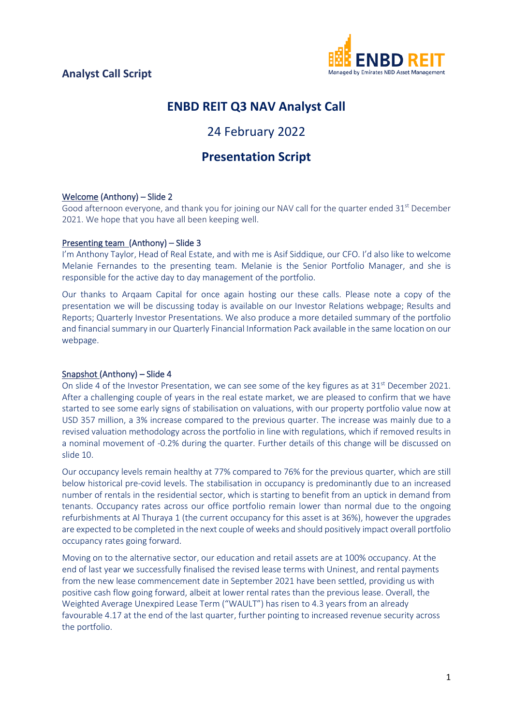

## **ENBD REIT Q3 NAV Analyst Call**

# 24 February 2022

## **Presentation Script**

### Welcome (Anthony) – Slide 2

Good afternoon everyone, and thank you for joining our NAV call for the quarter ended  $31^{st}$  December 2021. We hope that you have all been keeping well.

### Presenting team (Anthony) – Slide 3

I'm Anthony Taylor, Head of Real Estate, and with me is Asif Siddique, our CFO. I'd also like to welcome Melanie Fernandes to the presenting team. Melanie is the Senior Portfolio Manager, and she is responsible for the active day to day management of the portfolio.

Our thanks to Arqaam Capital for once again hosting our these calls. Please note a copy of the presentation we will be discussing today is available on our Investor Relations webpage; Results and Reports; Quarterly Investor Presentations. We also produce a more detailed summary of the portfolio and financial summary in our Quarterly Financial Information Pack available in the same location on our webpage.

### Snapshot (Anthony) – Slide 4

On slide 4 of the Investor Presentation, we can see some of the key figures as at 31<sup>st</sup> December 2021. After a challenging couple of years in the real estate market, we are pleased to confirm that we have started to see some early signs of stabilisation on valuations, with our property portfolio value now at USD 357 million, a 3% increase compared to the previous quarter. The increase was mainly due to a revised valuation methodology across the portfolio in line with regulations, which if removed results in a nominal movement of -0.2% during the quarter. Further details of this change will be discussed on slide 10.

Our occupancy levels remain healthy at 77% compared to 76% for the previous quarter, which are still below historical pre-covid levels. The stabilisation in occupancy is predominantly due to an increased number of rentals in the residential sector, which is starting to benefit from an uptick in demand from tenants. Occupancy rates across our office portfolio remain lower than normal due to the ongoing refurbishments at Al Thuraya 1 (the current occupancy for this asset is at 36%), however the upgrades are expected to be completed in the next couple of weeks and should positively impact overall portfolio occupancy rates going forward.

Moving on to the alternative sector, our education and retail assets are at 100% occupancy. At the end of last year we successfully finalised the revised lease terms with Uninest, and rental payments from the new lease commencement date in September 2021 have been settled, providing us with positive cash flow going forward, albeit at lower rental rates than the previous lease. Overall, the Weighted Average Unexpired Lease Term ("WAULT") has risen to 4.3 years from an already favourable 4.17 at the end of the last quarter, further pointing to increased revenue security across the portfolio.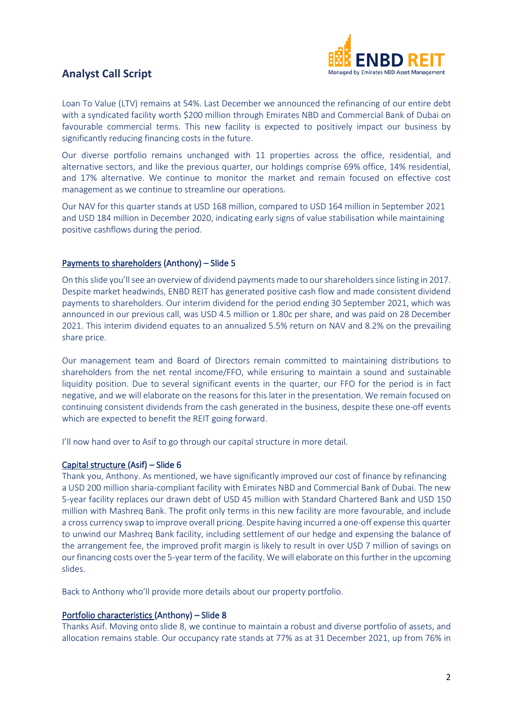

### **Analyst Call Script**

Loan To Value (LTV) remains at 54%. Last December we announced the refinancing of our entire debt with a syndicated facility worth \$200 million through Emirates NBD and Commercial Bank of Dubai on favourable commercial terms. This new facility is expected to positively impact our business by significantly reducing financing costs in the future.

Our diverse portfolio remains unchanged with 11 properties across the office, residential, and alternative sectors, and like the previous quarter, our holdings comprise 69% office, 14% residential, and 17% alternative. We continue to monitor the market and remain focused on effective cost management as we continue to streamline our operations.

Our NAV for this quarter stands at USD 168 million, compared to USD 164 million in September 2021 and USD 184 million in December 2020, indicating early signs of value stabilisation while maintaining positive cashflows during the period.

### Payments to shareholders (Anthony) – Slide 5

On this slide you'll see an overview of dividend payments made to our shareholders since listing in 2017. Despite market headwinds, ENBD REIT has generated positive cash flow and made consistent dividend payments to shareholders. Our interim dividend for the period ending 30 September 2021, which was announced in our previous call, was USD 4.5 million or 1.80c per share, and was paid on 28 December 2021. This interim dividend equates to an annualized 5.5% return on NAV and 8.2% on the prevailing share price.

Our management team and Board of Directors remain committed to maintaining distributions to shareholders from the net rental income/FFO, while ensuring to maintain a sound and sustainable liquidity position. Due to several significant events in the quarter, our FFO for the period is in fact negative, and we will elaborate on the reasons for this later in the presentation. We remain focused on continuing consistent dividends from the cash generated in the business, despite these one-off events which are expected to benefit the REIT going forward.

I'll now hand over to Asif to go through our capital structure in more detail.

### Capital structure (Asif) – Slide 6

Thank you, Anthony. As mentioned, we have significantly improved our cost of finance by refinancing a USD 200 million sharia-compliant facility with Emirates NBD and Commercial Bank of Dubai. The new 5-year facility replaces our drawn debt of USD 45 million with Standard Chartered Bank and USD 150 million with Mashreq Bank. The profit only terms in this new facility are more favourable, and include a cross currency swap to improve overall pricing. Despite having incurred a one-off expense this quarter to unwind our Mashreq Bank facility, including settlement of our hedge and expensing the balance of the arrangement fee, the improved profit margin is likely to result in over USD 7 million of savings on our financing costs over the 5-year term of the facility. We will elaborate on this further in the upcoming slides.

Back to Anthony who'll provide more details about our property portfolio.

### Portfolio characteristics (Anthony) – Slide 8

Thanks Asif. Moving onto slide 8, we continue to maintain a robust and diverse portfolio of assets, and allocation remains stable. Our occupancy rate stands at 77% as at 31 December 2021, up from 76% in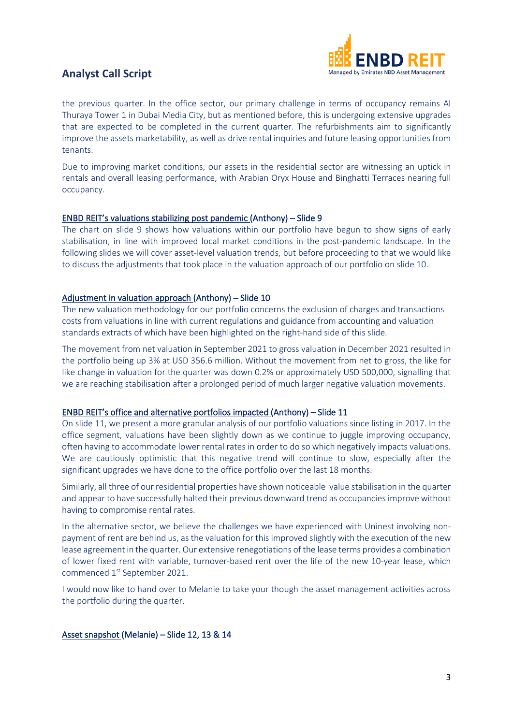

### **Analyst Call Script**

the previous quarter. In the office sector, our primary challenge in terms of occupancy remains Al Thuraya Tower 1 in Dubai Media City, but as mentioned before, this is undergoing extensive upgrades that are expected to be completed in the current quarter. The refurbishments aim to significantly improve the assets marketability, as well as drive rental inquiries and future leasing opportunities from tenants.

Due to improving market conditions, our assets in the residential sector are witnessing an uptick in rentals and overall leasing performance, with Arabian Oryx House and Binghatti Terraces nearing full occupancy.

### ENBD REIT's valuations stabilizing post pandemic (Anthony) – Slide 9

The chart on slide 9 shows how valuations within our portfolio have begun to show signs of early stabilisation, in line with improved local market conditions in the post-pandemic landscape. In the following slides we will cover asset-level valuation trends, but before proceeding to that we would like to discuss the adjustments that took place in the valuation approach of our portfolio on slide 10.

### Adjustment in valuation approach (Anthony) – Slide 10

The new valuation methodology for our portfolio concerns the exclusion of charges and transactions costs from valuations in line with current regulations and guidance from accounting and valuation standards extracts of which have been highlighted on the right-hand side of this slide.

The movement from net valuation in September 2021 to gross valuation in December 2021 resulted in the portfolio being up 3% at USD 356.6 million. Without the movement from net to gross, the like for like change in valuation for the quarter was down 0.2% or approximately USD 500,000, signalling that we are reaching stabilisation after a prolonged period of much larger negative valuation movements.

### ENBD REIT's office and alternative portfolios impacted (Anthony) – Slide 11

On slide 11, we present a more granular analysis of our portfolio valuations since listing in 2017. In the office segment, valuations have been slightly down as we continue to juggle improving occupancy, often having to accommodate lower rental rates in order to do so which negatively impacts valuations. We are cautiously optimistic that this negative trend will continue to slow, especially after the significant upgrades we have done to the office portfolio over the last 18 months.

Similarly, all three of our residential properties have shown noticeable value stabilisation in the quarter and appear to have successfully halted their previous downward trend as occupancies improve without having to compromise rental rates.

In the alternative sector, we believe the challenges we have experienced with Uninest involving nonpayment of rent are behind us, as the valuation for this improved slightly with the execution of the new lease agreement in the quarter. Our extensive renegotiations of the lease terms provides a combination of lower fixed rent with variable, turnover-based rent over the life of the new 10-year lease, which commenced 1<sup>st</sup> September 2021.

I would now like to hand over to Melanie to take your though the asset management activities across the portfolio during the quarter.

Asset snapshot (Melanie) – Slide 12, 13 & 14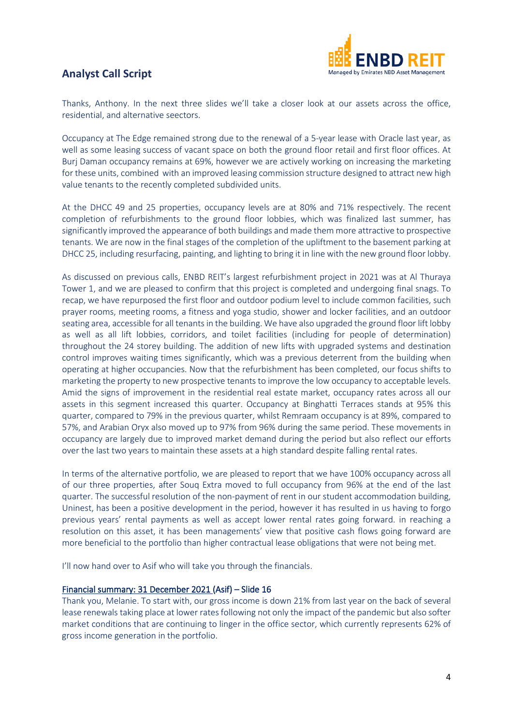



Thanks, Anthony. In the next three slides we'll take a closer look at our assets across the office, residential, and alternative seectors.

Occupancy at The Edge remained strong due to the renewal of a 5-year lease with Oracle last year, as well as some leasing success of vacant space on both the ground floor retail and first floor offices. At Burj Daman occupancy remains at 69%, however we are actively working on increasing the marketing for these units, combined with an improved leasing commission structure designed to attract new high value tenants to the recently completed subdivided units.

At the DHCC 49 and 25 properties, occupancy levels are at 80% and 71% respectively. The recent completion of refurbishments to the ground floor lobbies, which was finalized last summer, has significantly improved the appearance of both buildings and made them more attractive to prospective tenants. We are now in the final stages of the completion of the upliftment to the basement parking at DHCC 25, including resurfacing, painting, and lighting to bring it in line with the new ground floor lobby.

As discussed on previous calls, ENBD REIT's largest refurbishment project in 2021 was at Al Thuraya Tower 1, and we are pleased to confirm that this project is completed and undergoing final snags. To recap, we have repurposed the first floor and outdoor podium level to include common facilities, such prayer rooms, meeting rooms, a fitness and yoga studio, shower and locker facilities, and an outdoor seating area, accessible for all tenants in the building. We have also upgraded the ground floor lift lobby as well as all lift lobbies, corridors, and toilet facilities (including for people of determination) throughout the 24 storey building. The addition of new lifts with upgraded systems and destination control improves waiting times significantly, which was a previous deterrent from the building when operating at higher occupancies. Now that the refurbishment has been completed, our focus shifts to marketing the property to new prospective tenants to improve the low occupancy to acceptable levels. Amid the signs of improvement in the residential real estate market, occupancy rates across all our assets in this segment increased this quarter. Occupancy at Binghatti Terraces stands at 95% this quarter, compared to 79% in the previous quarter, whilst Remraam occupancy is at 89%, compared to 57%, and Arabian Oryx also moved up to 97% from 96% during the same period. These movements in occupancy are largely due to improved market demand during the period but also reflect our efforts over the last two years to maintain these assets at a high standard despite falling rental rates.

In terms of the alternative portfolio, we are pleased to report that we have 100% occupancy across all of our three properties, after Souq Extra moved to full occupancy from 96% at the end of the last quarter. The successful resolution of the non-payment of rent in our student accommodation building, Uninest, has been a positive development in the period, however it has resulted in us having to forgo previous years' rental payments as well as accept lower rental rates going forward. in reaching a resolution on this asset, it has been managements' view that positive cash flows going forward are more beneficial to the portfolio than higher contractual lease obligations that were not being met.

I'll now hand over to Asif who will take you through the financials.

### Financial summary: 31 December 2021 (Asif) – Slide 16

Thank you, Melanie. To start with, our gross income is down 21% from last year on the back of several lease renewals taking place at lower rates following not only the impact of the pandemic but also softer market conditions that are continuing to linger in the office sector, which currently represents 62% of gross income generation in the portfolio.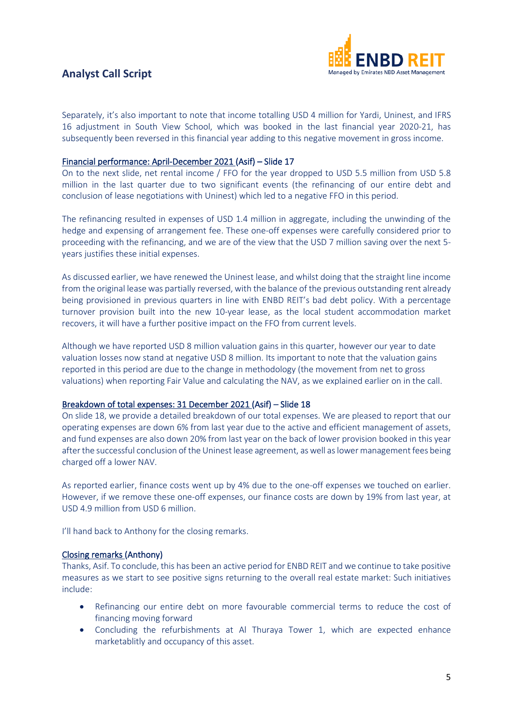### **Analyst Call Script**



Separately, it's also important to note that income totalling USD 4 million for Yardi, Uninest, and IFRS 16 adjustment in South View School, which was booked in the last financial year 2020-21, has subsequently been reversed in this financial year adding to this negative movement in gross income.

### Financial performance: April-December 2021 (Asif) – Slide 17

On to the next slide, net rental income / FFO for the year dropped to USD 5.5 million from USD 5.8 million in the last quarter due to two significant events (the refinancing of our entire debt and conclusion of lease negotiations with Uninest) which led to a negative FFO in this period.

The refinancing resulted in expenses of USD 1.4 million in aggregate, including the unwinding of the hedge and expensing of arrangement fee. These one-off expenses were carefully considered prior to proceeding with the refinancing, and we are of the view that the USD 7 million saving over the next 5 years justifies these initial expenses.

As discussed earlier, we have renewed the Uninest lease, and whilst doing that the straight line income from the original lease was partially reversed, with the balance of the previous outstanding rent already being provisioned in previous quarters in line with ENBD REIT's bad debt policy. With a percentage turnover provision built into the new 10-year lease, as the local student accommodation market recovers, it will have a further positive impact on the FFO from current levels.

Although we have reported USD 8 million valuation gains in this quarter, however our year to date valuation losses now stand at negative USD 8 million. Its important to note that the valuation gains reported in this period are due to the change in methodology (the movement from net to gross valuations) when reporting Fair Value and calculating the NAV, as we explained earlier on in the call.

### Breakdown of total expenses: 31 December 2021 (Asif) – Slide 18

On slide 18, we provide a detailed breakdown of our total expenses. We are pleased to report that our operating expenses are down 6% from last year due to the active and efficient management of assets, and fund expenses are also down 20% from last year on the back of lower provision booked in this year after the successful conclusion of the Uninest lease agreement, as well as lower management fees being charged off a lower NAV.

As reported earlier, finance costs went up by 4% due to the one-off expenses we touched on earlier. However, if we remove these one-off expenses, our finance costs are down by 19% from last year, at USD 4.9 million from USD 6 million.

I'll hand back to Anthony for the closing remarks.

### Closing remarks (Anthony)

Thanks, Asif. To conclude, this has been an active period for ENBD REIT and we continue to take positive measures as we start to see positive signs returning to the overall real estate market: Such initiatives include:

- Refinancing our entire debt on more favourable commercial terms to reduce the cost of financing moving forward
- Concluding the refurbishments at Al Thuraya Tower 1, which are expected enhance marketablitly and occupancy of this asset.